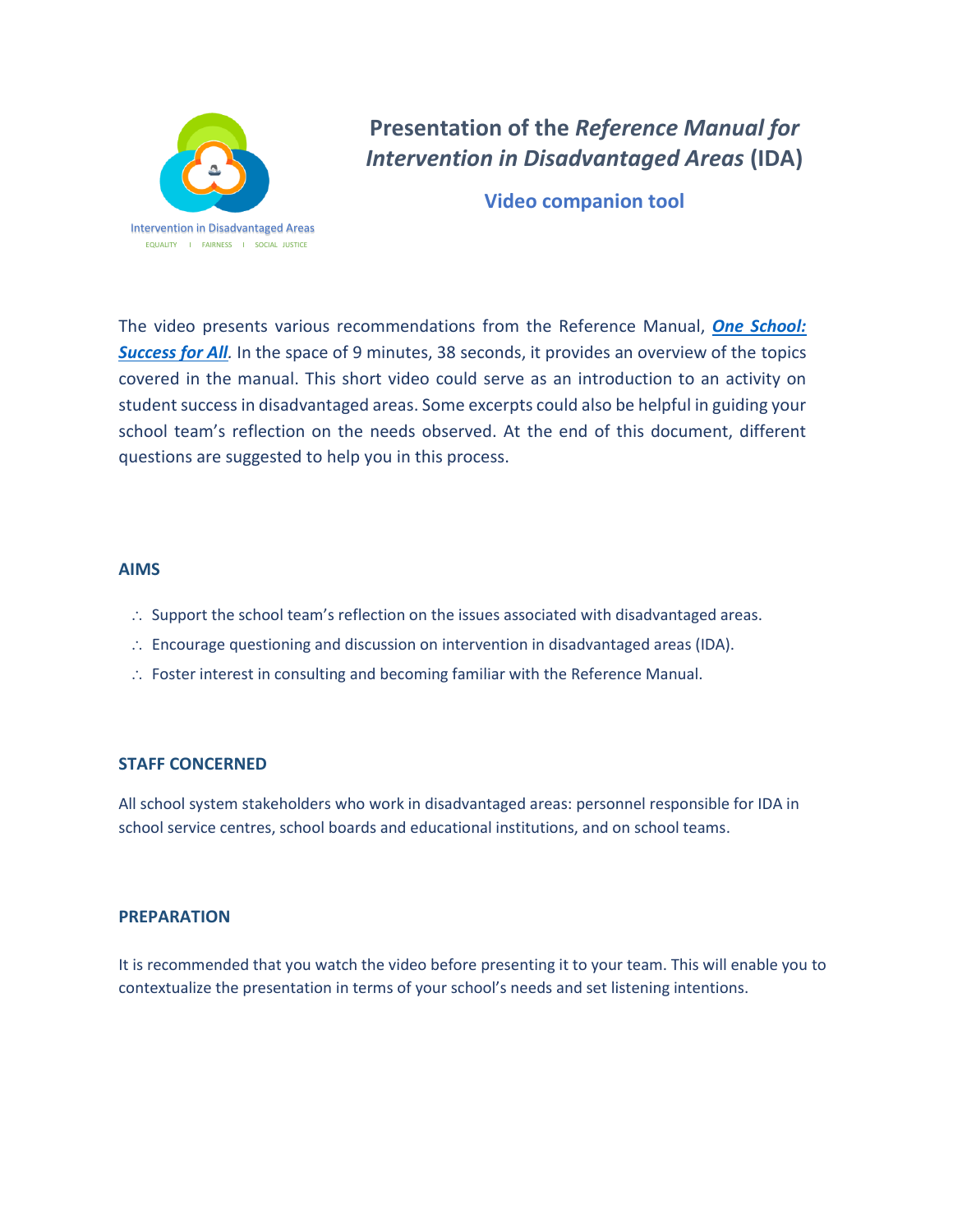

# **Presentation of the** *Reference Manual for Intervention in Disadvantaged Areas* **(IDA)**

**Video companion tool**

The video presents various recommendations from the Reference Manual, *[One School:](http://www.education.gouv.qc.ca/fileadmin/site_web/documents/education/jeunes/Referentiel-milieu-defavorise-AN.pdf)*  **[Success for All](http://www.education.gouv.qc.ca/fileadmin/site_web/documents/education/jeunes/Referentiel-milieu-defavorise-AN.pdf)**. In the space of 9 minutes, 38 seconds, it provides an overview of the topics covered in the manual. This short video could serve as an introduction to an activity on student success in disadvantaged areas. Some excerpts could also be helpful in guiding your school team's reflection on the needs observed. At the end of this document, different questions are suggested to help you in this process.

## **AIMS**

- $\therefore$  Support the school team's reflection on the issues associated with disadvantaged areas.
- $\therefore$  Encourage questioning and discussion on intervention in disadvantaged areas (IDA).
- Foster interest in consulting and becoming familiar with the Reference Manual.

# **STAFF CONCERNED**

All school system stakeholders who work in disadvantaged areas: personnel responsible for IDA in school service centres, school boards and educational institutions, and on school teams.

## **PREPARATION**

It is recommended that you watch the video before presenting it to your team. This will enable you to contextualize the presentation in terms of your school's needs and set listening intentions.